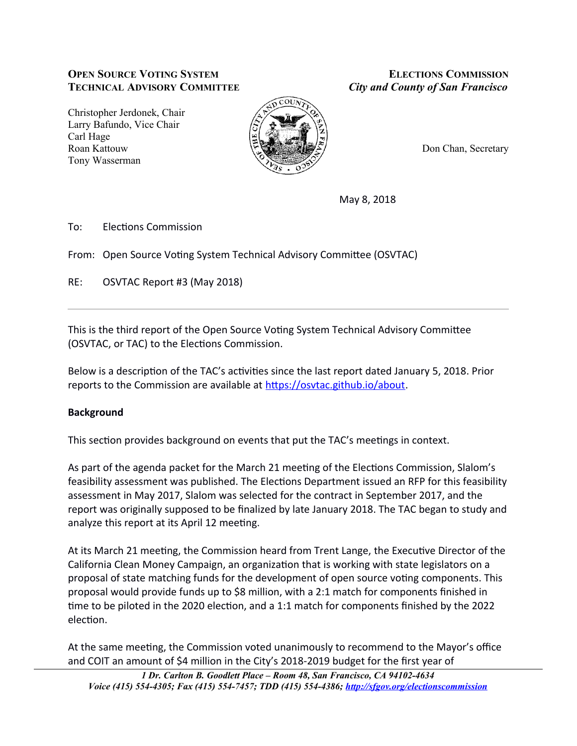# **OPEN SOURCE VOTING SYSTEM ELECTIONS COMMISSION TECHNICAL ADVISORY COMMITTEE** *City and County of San Francisco*

Christopher Jerdonek, Chair Larry Bafundo, Vice Chair Carl Hage Roan Kattouw **Don Chan, Secretary** Tony Wasserman



May 8, 2018

To: Flections Commission

From: Open Source Voting System Technical Advisory Committee (OSVTAC)

RE: OSVTAC Report #3 (May 2018)

This is the third report of the Open Source Voting System Technical Advisory Committee (OSVTAC, or TAC) to the Elections Commission.

Below is a description of the TAC's activities since the last report dated January 5, 2018. Prior reports to the Commission are available at https://osvtac.github.io/about.

# **Background**

This section provides background on events that put the TAC's meetings in context.

As part of the agenda packet for the March 21 meeting of the Elections Commission, Slalom's feasibility assessment was published. The Elections Department issued an RFP for this feasibility assessment in May 2017, Slalom was selected for the contract in September 2017, and the report was originally supposed to be finalized by late January 2018. The TAC began to study and analyze this report at its April 12 meeting.

At its March 21 meeting, the Commission heard from Trent Lange, the Executive Director of the California Clean Money Campaign, an organization that is working with state legislators on a proposal of state matching funds for the development of open source voting components. This proposal would provide funds up to \$8 million, with a 2:1 match for components finished in time to be piloted in the 2020 election, and a 1:1 match for components finished by the 2022 election.

At the same meeting, the Commission voted unanimously to recommend to the Mayor's office and COIT an amount of \$4 million in the City's 2018-2019 budget for the first year of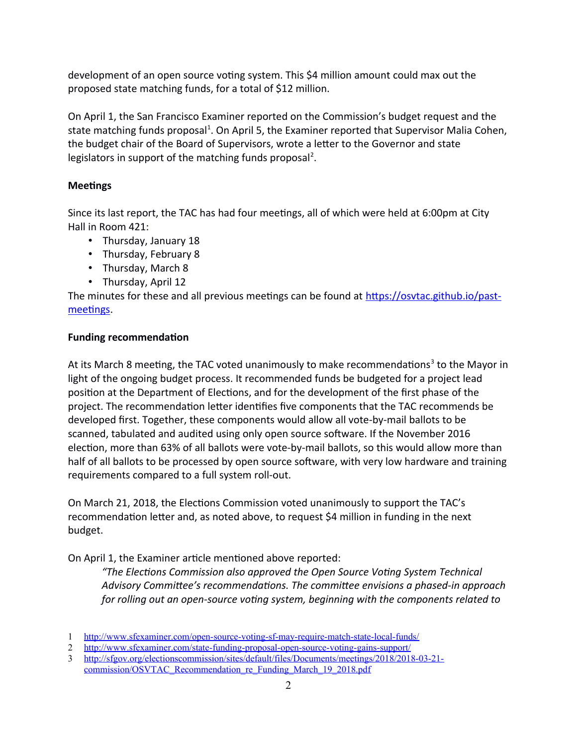development of an open source voting system. This \$4 million amount could max out the proposed state matching funds, for a total of \$12 million.

On April 1, the San Francisco Examiner reported on the Commission's budget request and the state matching funds proposal<sup>[1](#page-1-0)</sup>. On April 5, the Examiner reported that Supervisor Malia Cohen, the budget chair of the Board of Supervisors, wrote a letter to the Governor and state legislators in support of the matching funds proposal<sup>[2](#page-1-1)</sup>.

# **Meetings**

Since its last report, the TAC has had four meetings, all of which were held at 6:00pm at City Hall in Room 421:

- Thursday, January  $18$
- Thursday, February 8
- Thursday, March 8
- Thursday, April 12

The minutes for these and all previous meetings can be found at https://osvtac.github.io/pastmeetings.

## **Funding recommendation**

At its March 8 meeting, the TAC voted unanimously to make recommendations<sup>[3](#page-1-2)</sup> to the Mayor in light of the ongoing budget process. It recommended funds be budgeted for a project lead position at the Department of Elections, and for the development of the first phase of the project. The recommendation letter identifies five components that the TAC recommends be developed first. Together, these components would allow all vote-by-mail ballots to be scanned, tabulated and audited using only open source software. If the November 2016 election, more than 63% of all ballots were vote-by-mail ballots, so this would allow more than half of all ballots to be processed by open source software, with very low hardware and training requirements compared to a full system roll-out.

On March 21, 2018, the Elections Commission voted unanimously to support the TAC's recommendation letter and, as noted above, to request \$4 million in funding in the next budget.

On April 1, the Examiner article mentioned above reported:

*"The Elections Commission also approved the Open Source Voting System Technical* Advisory Committee's recommendations. The committee envisions a phased-in approach *for rolling out an open-source voting system, beginning with the components related to* 

<span id="page-1-0"></span><sup>1</sup><http://www.sfexaminer.com/open-source-voting-sf-may-require-match-state-local-funds/>

<span id="page-1-1"></span><sup>2</sup> <http://www.sfexaminer.com/state-funding-proposal-open-source-voting-gains-support/>

<span id="page-1-2"></span><sup>3</sup> [http://sfgov.org/electionscommission/sites/default/files/Documents/meetings/2018/2018-03-21](http://sfgov.org/electionscommission/sites/default/files/Documents/meetings/2018/2018-03-21-commission/OSVTAC_Recommendation_re_Funding_March_19_2018.pdf) [commission/OSVTAC\\_Recommendation\\_re\\_Funding\\_March\\_19\\_2018.pdf](http://sfgov.org/electionscommission/sites/default/files/Documents/meetings/2018/2018-03-21-commission/OSVTAC_Recommendation_re_Funding_March_19_2018.pdf)